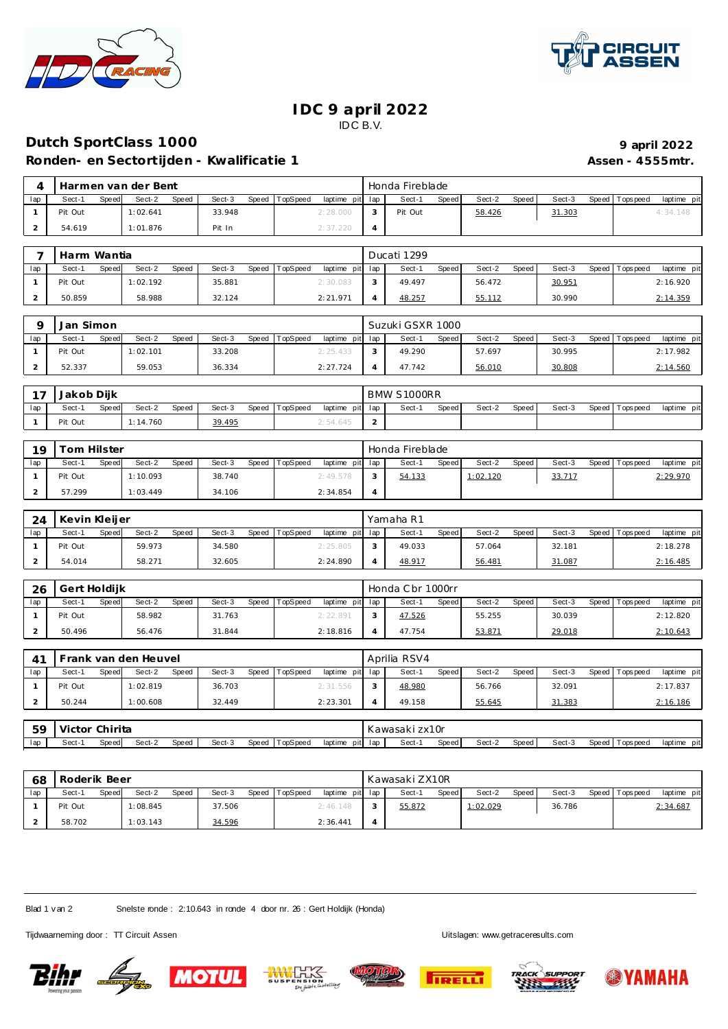



## **IDC 9 april 2022** IDC B.V.

## **Dutch SportClass 1000 9 1000 9 1000 9 1000 9 1000 9 1000 9 1000 9 1000 9 1000 9 1000 9 1000 9 1000 9 1000 9 1000 9 1000 9 1000 9 1000 9 1000 9 1000**

Ronden- en Sectortijden - Kwalificatie 1 **Assen - 4555mtr.** Assen - 4555mtr.

|     | Harmen van der Bent |       |          |       |        |                |                 | Honda Fireblade |       |        |       |        |                 |             |
|-----|---------------------|-------|----------|-------|--------|----------------|-----------------|-----------------|-------|--------|-------|--------|-----------------|-------------|
| lap | Sect-1              | Speed | Sect-2   | Speed | Sect-3 | Speed TopSpeed | laptime pit lap | Sect-1          | Speed | Sect-2 | Speed | Sect-3 | Speed Tops peed | laptime pit |
|     | Pit Out             |       | 1:02.641 |       | 33.948 |                | 2:28.000        | Pit Out         |       | 58.426 |       | 31.303 |                 | 4:34.148    |
|     | 54.619              |       | 1:01.876 |       | Pit In |                | 2:37.220        |                 |       |        |       |        |                 |             |

|     | Harm Wantia     |                 |                 |          |                 |        | Ducati 1299 |              |        |       |        |                 |             |  |
|-----|-----------------|-----------------|-----------------|----------|-----------------|--------|-------------|--------------|--------|-------|--------|-----------------|-------------|--|
| lap | Sect-1<br>Speed | Sect-2<br>Speed | Sect-3<br>Speed | TopSpeed | laptime pit lap |        | Sect-1      | <b>Speed</b> | Sect-2 | Speed | Sect-3 | Speed Tops peed | laptime pit |  |
|     | Pit Out         | 1:02.192        | 35.881          |          | 2:30.083        | $\sim$ | 49.497      |              | 56.472 |       | 30.951 |                 | 2:16.920    |  |
|     | 50.859          | 58.988          | 32.124          |          | 2:21.971        |        | 48.257      |              | 55.112 |       | 30.990 |                 | 2:14.359    |  |

|     | Jan Simon |       |          |       |        |       |          |                 | Suzuki GSXR 1000 |       |        |       |        |                 |             |
|-----|-----------|-------|----------|-------|--------|-------|----------|-----------------|------------------|-------|--------|-------|--------|-----------------|-------------|
| lap | Sect-1    | Speed | Sect-2   | Speed | Sect-3 | Speed | TopSpeed | laptime pit lap | Sect-1           | Speed | Sect-2 | Speed | Sect-3 | Speed Tops peed | laptime pit |
|     | Pit Out   |       | 1:02.101 |       | 33.208 |       |          | 2:25.433        | 49.290           |       | 57.697 |       | 30.995 |                 | 2:17.982    |
|     | 52.337    |       | 59.053   |       | 36.334 |       |          | 2:27.724        | 47.742           |       | 56.010 |       | 30.808 |                 | 2:14.56C    |

| - - | Diik<br>Jakob  |          |       |        |       |          |           | BMW     | S1000RR |       |        |       |        |                 |                |
|-----|----------------|----------|-------|--------|-------|----------|-----------|---------|---------|-------|--------|-------|--------|-----------------|----------------|
| lap | Speed<br>Sect- | Sect-2   | Speed | Sect-3 | Speed | TopSpeed | laptime   | pit lap | Sect-   | Speed | Sect-2 | Speed | Sect-3 | Speed Tops peed | pit<br>laptime |
|     | Pit Out        | 1:14.760 |       | 39.495 |       |          | ∠: 54.645 | ∸       |         |       |        |       |        |                 |                |

| <b>19</b> | om Hilster |       |          |       |        |       |          |                 | Honda Fireblade |       |          |       |        |                   |             |
|-----------|------------|-------|----------|-------|--------|-------|----------|-----------------|-----------------|-------|----------|-------|--------|-------------------|-------------|
| lap       | Sect-1     | Speed | Sect-2   | Speed | Sect-3 | Speed | TopSpeed | laptime pit lap | Sect-1          | Speed | Sect-2   | Speed | Sect-3 | Speed   Tops peed | laptime pit |
|           | Pit Out    |       | 1:10.093 |       | 38.740 |       |          | 2:49.578        | 54.133          |       | 1:02.120 |       | 33.717 |                   | 2:29.970    |
|           | 57.299     |       | 1:03.449 |       | 34.106 |       |          | 2:34.854        |                 |       |          |       |        |                   |             |

| 24  | Kevin Kleijer |       |        |       |        |       |          |                 |                | Yamaha R1 |              |        |       |        |                 |             |
|-----|---------------|-------|--------|-------|--------|-------|----------|-----------------|----------------|-----------|--------------|--------|-------|--------|-----------------|-------------|
| lap | Sect-1        | Speed | Sect-2 | Speed | Sect-3 | Speed | TopSpeed | laptime pit lap |                | Sect-1    | <b>Speed</b> | Sect-2 | Speed | Sect-3 | Speed Tops peed | laptime pit |
|     | Pit Out       |       | 59.973 |       | 34.580 |       |          | 2:25.805        | ∽              | 49.033    |              | 57.064 |       | 32.181 |                 | 2:18.278    |
|     | 54.014        |       | 58.271 |       | 32.605 |       |          | 2:24.890        | $\overline{a}$ | 48.917    |              | 56.481 |       | 31.087 |                 | 2:16.485    |

| -26 | Gert Holdijk    |                 |                 |          |                 | Honda C br 1000rr |        |       |        |                 |             |
|-----|-----------------|-----------------|-----------------|----------|-----------------|-------------------|--------|-------|--------|-----------------|-------------|
| lap | Sect-1<br>Speed | Sect-2<br>Speed | Sect-3<br>Speed | TopSpeed | laptime pit lap | Sect-1<br>Speed   | Sect-2 | Speed | Sect-3 | Speed Tops peed | laptime pit |
|     | Pit Out         | 58.982          | 31.763          |          | 2:22.891        | 47.526            | 55.255 |       | 30.039 |                 | 2:12.820    |
|     | 50.496          | 56.476          | 31.844          |          | 2:18.816        | 47.754            | 53.871 |       | 29.018 |                 | 2:10.643    |

| 4 <sup>1</sup> |    |                |       | Frank van den Heuvel |       |        |       |          |                 | Aprilia RSV4   |       |        |       |        |                   |             |
|----------------|----|----------------|-------|----------------------|-------|--------|-------|----------|-----------------|----------------|-------|--------|-------|--------|-------------------|-------------|
| lap            |    | Sect-1         | Speed | Sect-2               | Speed | Sect-3 | Speed | TopSpeed | laptime pit lap | Sect-1         | Speed | Sect-2 | Speed | Sect-3 | Speed   Tops peed | laptime pit |
|                |    | Pit Out        |       | 1:02.819             |       | 36.703 |       |          | 2:31.556        | 48.980         |       | 56.766 |       | 32.091 |                   | 2:17.837    |
|                |    | 50.244         |       | 1:00.608             |       | 32.449 |       |          | 2:23.301        | 49.158         |       | 55.645 |       | 31.383 |                   | 2:16.186    |
|                |    |                |       |                      |       |        |       |          |                 |                |       |        |       |        |                   |             |
|                | 59 | Victor Chirita |       |                      |       |        |       |          |                 | Kawasaki zx10r |       |        |       |        |                   |             |

| $\cdot$ |              | .     |        |       |        |       |          |                 |    |        |       |        |       |        |       |          |                |
|---------|--------------|-------|--------|-------|--------|-------|----------|-----------------|----|--------|-------|--------|-------|--------|-------|----------|----------------|
| lap     | $3$ ect- $1$ | Speed | Sect-1 | Speed | Sect-3 | Speed | TopSpeeg | laptime<br>pitl | la | Sect-1 | Speed | Sect-2 | Speed | Sect-3 | Speed | Topspeed | laptime<br>DI. |
|         |              |       |        |       |        |       |          |                 |    |        |       |        |       |        |       |          |                |

| 68  | Roderik Beer |       |          |              |        |                |                 |  | Kawasaki ZX10R |              |          |       |        |                 |             |  |
|-----|--------------|-------|----------|--------------|--------|----------------|-----------------|--|----------------|--------------|----------|-------|--------|-----------------|-------------|--|
| lap | Sect-1       | Speed | Sect-2   | <b>Speed</b> | Sect-3 | Speed TopSpeed | laptime pit lap |  | Sect-1         | <b>Speed</b> | Sect-2   | Speed | Sect-3 | Speed Tops peed | laptime pit |  |
|     | Pit Out      |       | 1:08.845 |              | 37.506 |                | 2:46.148        |  | 55.872         |              | 1:02.029 |       | 36.786 |                 | 2:34.687    |  |
|     | 58.702       |       | 1:03.143 |              | 34.596 |                | 2:36.441        |  |                |              |          |       |        |                 |             |  |

Blad 1 v an 2 Snelste ronde : 2:10.643 in ronde 4 door nr. 26 : Gert Holdijk (Honda)

Tijdwaarneming door : TT Circuit Assen Uitslagen:<www.getraceresults.com>